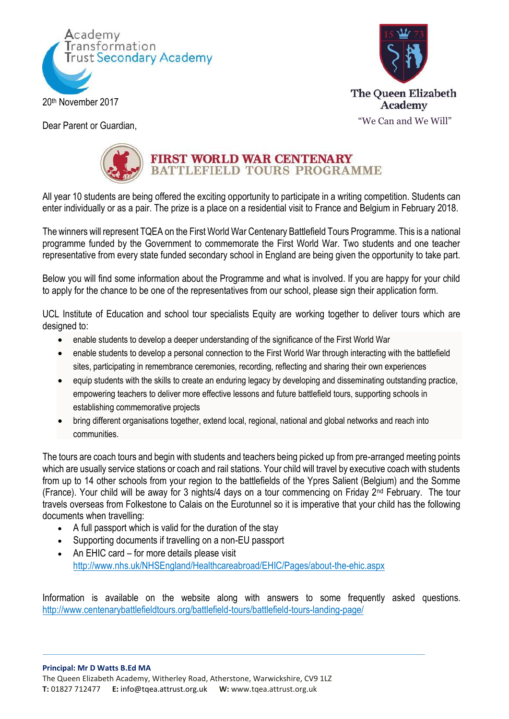



Dear Parent or Guardian,



## FIRST WORLD WAR CENTENARY<br>BATTLEFIELD TOURS PROGRAMME

All year 10 students are being offered the exciting opportunity to participate in a writing competition. Students can enter individually or as a pair. The prize is a place on a residential visit to France and Belgium in February 2018.

The winners will represent TQEA on the First World War Centenary Battlefield Tours Programme. This is a national programme funded by the Government to commemorate the First World War. Two students and one teacher representative from every state funded secondary school in England are being given the opportunity to take part.

Below you will find some information about the Programme and what is involved. If you are happy for your child to apply for the chance to be one of the representatives from our school, please sign their application form.

UCL Institute of Education and school tour specialists Equity are working together to deliver tours which are designed to:

- enable students to develop a deeper understanding of the significance of the First World War
- enable students to develop a personal connection to the First World War through interacting with the battlefield sites, participating in remembrance ceremonies, recording, reflecting and sharing their own experiences
- equip students with the skills to create an enduring legacy by developing and disseminating outstanding practice, empowering teachers to deliver more effective lessons and future battlefield tours, supporting schools in establishing commemorative projects
- bring different organisations together, extend local, regional, national and global networks and reach into communities.

The tours are coach tours and begin with students and teachers being picked up from pre-arranged meeting points which are usually service stations or coach and rail stations. Your child will travel by executive coach with students from up to 14 other schools from your region to the battlefields of the Ypres Salient (Belgium) and the Somme (France). Your child will be away for 3 nights/4 days on a tour commencing on Friday 2nd February. The tour travels overseas from Folkestone to Calais on the Eurotunnel so it is imperative that your child has the following documents when travelling:

- A full passport which is valid for the duration of the stay
- Supporting documents if travelling on a non-EU passport
- An EHIC card for more details please visit <http://www.nhs.uk/NHSEngland/Healthcareabroad/EHIC/Pages/about-the-ehic.aspx>

Information is available on the website along with answers to some frequently asked questions. <http://www.centenarybattlefieldtours.org/battlefield-tours/battlefield-tours-landing-page/>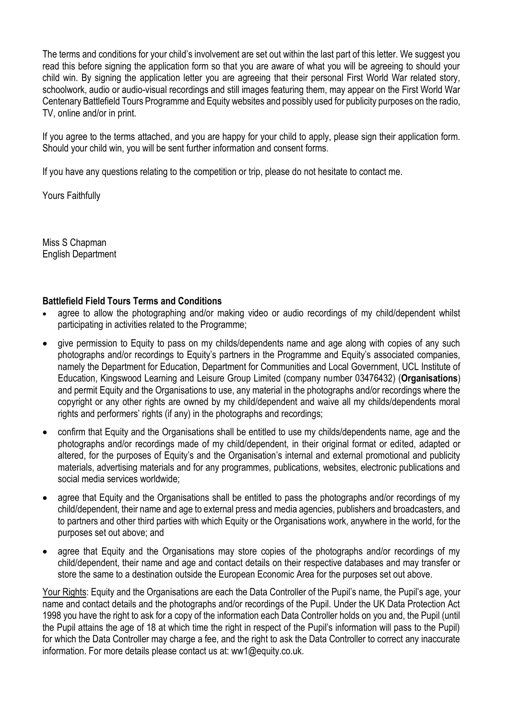The terms and conditions for your child's involvement are set out within the last part of this letter. We suggest you read this before signing the application form so that you are aware of what you will be agreeing to should your child win. By signing the application letter you are agreeing that their personal First World War related story, schoolwork, audio or audio-visual recordings and still images featuring them, may appear on the First World War Centenary Battlefield Tours Programme and Equity websites and possibly used for publicity purposes on the radio, TV, online and/or in print.

If you agree to the terms attached, and you are happy for your child to apply, please sign their application form. Should your child win, you will be sent further information and consent forms.

If you have any questions relating to the competition or trip, please do not hesitate to contact me.

Yours Faithfully

Miss S Chapman English Department

## **Battlefield Field Tours Terms and Conditions**

- agree to allow the photographing and/or making video or audio recordings of my child/dependent whilst participating in activities related to the Programme;
- give permission to Equity to pass on my childs/dependents name and age along with copies of any such photographs and/or recordings to Equity's partners in the Programme and Equity's associated companies, namely the Department for Education, Department for Communities and Local Government, UCL Institute of Education, Kingswood Learning and Leisure Group Limited (company number 03476432) (**Organisations**) and permit Equity and the Organisations to use, any material in the photographs and/or recordings where the copyright or any other rights are owned by my child/dependent and waive all my childs/dependents moral rights and performers' rights (if any) in the photographs and recordings;
- confirm that Equity and the Organisations shall be entitled to use my childs/dependents name, age and the photographs and/or recordings made of my child/dependent, in their original format or edited, adapted or altered, for the purposes of Equity's and the Organisation's internal and external promotional and publicity materials, advertising materials and for any programmes, publications, websites, electronic publications and social media services worldwide;
- agree that Equity and the Organisations shall be entitled to pass the photographs and/or recordings of my child/dependent, their name and age to external press and media agencies, publishers and broadcasters, and to partners and other third parties with which Equity or the Organisations work, anywhere in the world, for the purposes set out above; and
- agree that Equity and the Organisations may store copies of the photographs and/or recordings of my child/dependent, their name and age and contact details on their respective databases and may transfer or store the same to a destination outside the European Economic Area for the purposes set out above.

Your Rights: Equity and the Organisations are each the Data Controller of the Pupil's name, the Pupil's age, your name and contact details and the photographs and/or recordings of the Pupil. Under the UK Data Protection Act 1998 you have the right to ask for a copy of the information each Data Controller holds on you and, the Pupil (until the Pupil attains the age of 18 at which time the right in respect of the Pupil's information will pass to the Pupil) for which the Data Controller may charge a fee, and the right to ask the Data Controller to correct any inaccurate information. For more details please contact us at: ww1@equity.co.uk.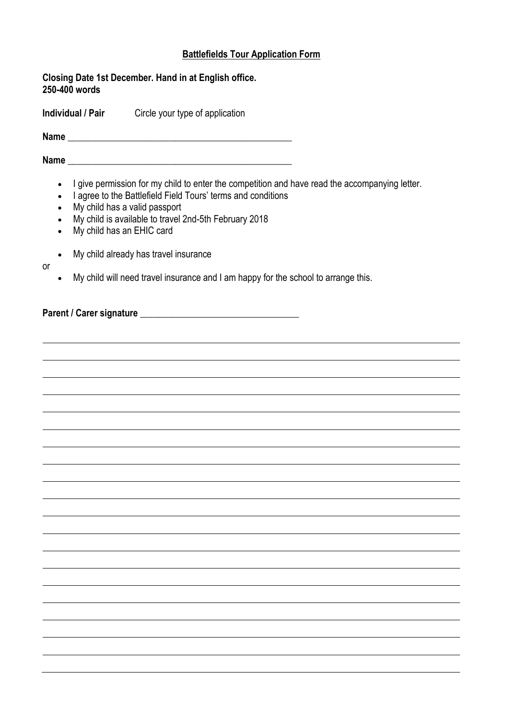## **Battlefields Tour Application Form**

**Closing Date 1st December. Hand in at English office. 250-400 words**

**Individual / Pair** Circle your type of application

**Name** \_\_\_\_\_\_\_\_\_\_\_\_\_\_\_\_\_\_\_\_\_\_\_\_\_\_\_\_\_\_\_\_\_\_\_\_\_\_\_\_\_\_\_\_\_\_\_\_

Name

- I give permission for my child to enter the competition and have read the accompanying letter.
- I agree to the Battlefield Field Tours' terms and conditions
- My child has a valid passport
- My child is available to travel 2nd-5th February 2018
- My child has an EHIC card
- My child already has travel insurance
- My child will need travel insurance and I am happy for the school to arrange this.

**Parent / Carer signature contracts** 

or